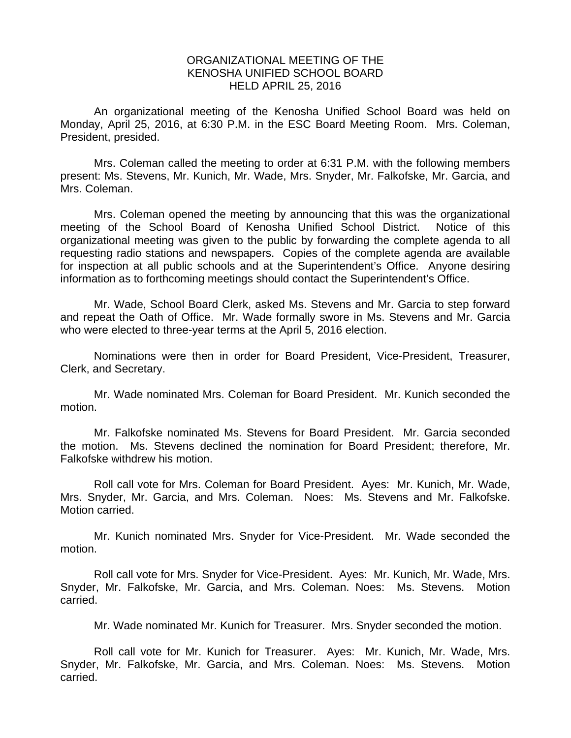## ORGANIZATIONAL MEETING OF THE KENOSHA UNIFIED SCHOOL BOARD HELD APRIL 25, 2016

 An organizational meeting of the Kenosha Unified School Board was held on Monday, April 25, 2016, at 6:30 P.M. in the ESC Board Meeting Room. Mrs. Coleman, President, presided.

 Mrs. Coleman called the meeting to order at 6:31 P.M. with the following members present: Ms. Stevens, Mr. Kunich, Mr. Wade, Mrs. Snyder, Mr. Falkofske, Mr. Garcia, and Mrs. Coleman.

 Mrs. Coleman opened the meeting by announcing that this was the organizational meeting of the School Board of Kenosha Unified School District. Notice of this organizational meeting was given to the public by forwarding the complete agenda to all requesting radio stations and newspapers. Copies of the complete agenda are available for inspection at all public schools and at the Superintendent's Office. Anyone desiring information as to forthcoming meetings should contact the Superintendent's Office.

Mr. Wade, School Board Clerk, asked Ms. Stevens and Mr. Garcia to step forward and repeat the Oath of Office. Mr. Wade formally swore in Ms. Stevens and Mr. Garcia who were elected to three-year terms at the April 5, 2016 election.

Nominations were then in order for Board President, Vice-President, Treasurer, Clerk, and Secretary.

Mr. Wade nominated Mrs. Coleman for Board President. Mr. Kunich seconded the motion.

Mr. Falkofske nominated Ms. Stevens for Board President. Mr. Garcia seconded the motion. Ms. Stevens declined the nomination for Board President; therefore, Mr. Falkofske withdrew his motion.

Roll call vote for Mrs. Coleman for Board President. Ayes: Mr. Kunich, Mr. Wade, Mrs. Snyder, Mr. Garcia, and Mrs. Coleman. Noes: Ms. Stevens and Mr. Falkofske. Motion carried.

Mr. Kunich nominated Mrs. Snyder for Vice-President. Mr. Wade seconded the motion.

Roll call vote for Mrs. Snyder for Vice-President. Ayes: Mr. Kunich, Mr. Wade, Mrs. Snyder, Mr. Falkofske, Mr. Garcia, and Mrs. Coleman. Noes: Ms. Stevens. Motion carried.

Mr. Wade nominated Mr. Kunich for Treasurer. Mrs. Snyder seconded the motion.

Roll call vote for Mr. Kunich for Treasurer. Ayes: Mr. Kunich, Mr. Wade, Mrs. Snyder, Mr. Falkofske, Mr. Garcia, and Mrs. Coleman. Noes: Ms. Stevens. Motion carried.